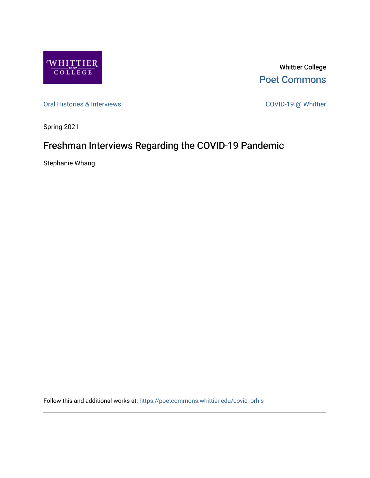

Whittier College [Poet Commons](https://poetcommons.whittier.edu/) 

[Oral Histories & Interviews](https://poetcommons.whittier.edu/covid_orhis) COVID-19 @ Whittier

Spring 2021

## Freshman Interviews Regarding the COVID-19 Pandemic

Stephanie Whang

Follow this and additional works at: [https://poetcommons.whittier.edu/covid\\_orhis](https://poetcommons.whittier.edu/covid_orhis?utm_source=poetcommons.whittier.edu%2Fcovid_orhis%2F5&utm_medium=PDF&utm_campaign=PDFCoverPages)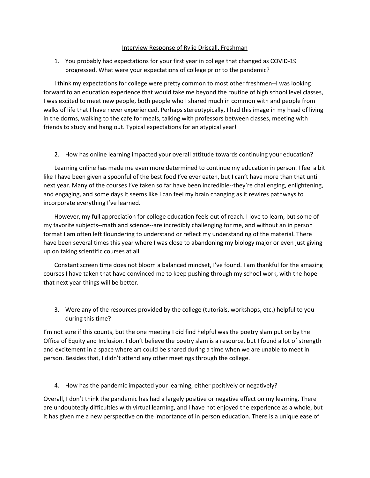## Interview Response of Rylie Driscall, Freshman

1. You probably had expectations for your first year in college that changed as COVID-19 progressed. What were your expectations of college prior to the pandemic?

I think my expectations for college were pretty common to most other freshmen--I was looking forward to an education experience that would take me beyond the routine of high school level classes, I was excited to meet new people, both people who I shared much in common with and people from walks of life that I have never experienced. Perhaps stereotypically, I had this image in my head of living in the dorms, walking to the cafe for meals, talking with professors between classes, meeting with friends to study and hang out. Typical expectations for an atypical year!

2. How has online learning impacted your overall attitude towards continuing your education?

Learning online has made me even more determined to continue my education in person. I feel a bit like I have been given a spoonful of the best food I've ever eaten, but I can't have more than that until next year. Many of the courses I've taken so far have been incredible--they're challenging, enlightening, and engaging, and some days It seems like I can feel my brain changing as it rewires pathways to incorporate everything I've learned.

However, my full appreciation for college education feels out of reach. I love to learn, but some of my favorite subjects--math and science--are incredibly challenging for me, and without an in person format I am often left floundering to understand or reflect my understanding of the material. There have been several times this year where I was close to abandoning my biology major or even just giving up on taking scientific courses at all.

Constant screen time does not bloom a balanced mindset, I've found. I am thankful for the amazing courses I have taken that have convinced me to keep pushing through my school work, with the hope that next year things will be better.

3. Were any of the resources provided by the college (tutorials, workshops, etc.) helpful to you during this time?

I'm not sure if this counts, but the one meeting I did find helpful was the poetry slam put on by the Office of Equity and Inclusion. I don't believe the poetry slam is a resource, but I found a lot of strength and excitement in a space where art could be shared during a time when we are unable to meet in person. Besides that, I didn't attend any other meetings through the college.

4. How has the pandemic impacted your learning, either positively or negatively?

Overall, I don't think the pandemic has had a largely positive or negative effect on my learning. There are undoubtedly difficulties with virtual learning, and I have not enjoyed the experience as a whole, but it has given me a new perspective on the importance of in person education. There is a unique ease of